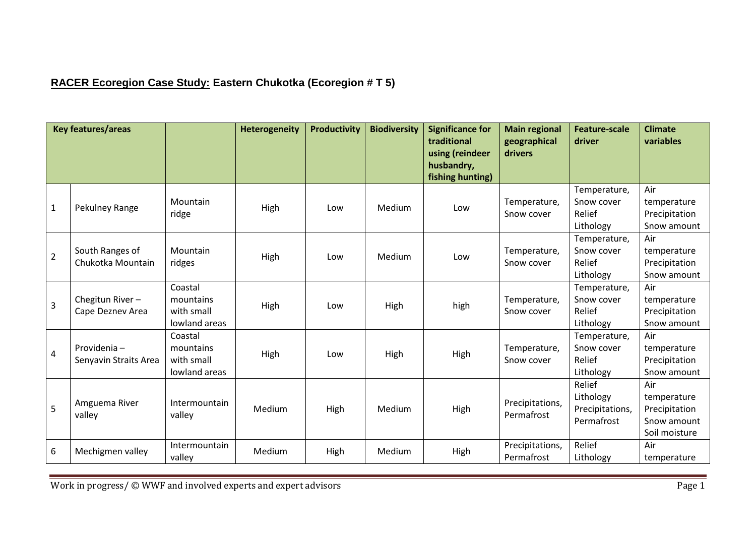## **RACER Ecoregion Case Study: Eastern Chukotka (Ecoregion # T 5)**

| <b>Key features/areas</b> |                                      |                                                     | <b>Heterogeneity</b> | <b>Productivity</b> | <b>Biodiversity</b> | <b>Significance for</b><br>traditional<br>using (reindeer<br>husbandry,<br>fishing hunting) | <b>Main regional</b><br>geographical<br>drivers | <b>Feature-scale</b><br>driver                       | <b>Climate</b><br>variables                                         |
|---------------------------|--------------------------------------|-----------------------------------------------------|----------------------|---------------------|---------------------|---------------------------------------------------------------------------------------------|-------------------------------------------------|------------------------------------------------------|---------------------------------------------------------------------|
| $\mathbf{1}$              | Pekulney Range                       | Mountain<br>ridge                                   | High                 | Low                 | Medium              | Low                                                                                         | Temperature,<br>Snow cover                      | Temperature,<br>Snow cover<br>Relief<br>Lithology    | Air<br>temperature<br>Precipitation<br>Snow amount                  |
| $\overline{2}$            | South Ranges of<br>Chukotka Mountain | Mountain<br>ridges                                  | High                 | Low                 | Medium              | Low                                                                                         | Temperature,<br>Snow cover                      | Temperature,<br>Snow cover<br>Relief<br>Lithology    | Air<br>temperature<br>Precipitation<br>Snow amount                  |
| $\overline{3}$            | Chegitun River-<br>Cape Deznev Area  | Coastal<br>mountains<br>with small<br>lowland areas | High                 | Low                 | High                | high                                                                                        | Temperature,<br>Snow cover                      | Temperature,<br>Snow cover<br>Relief<br>Lithology    | Air<br>temperature<br>Precipitation<br>Snow amount                  |
| 4                         | Providenia-<br>Senyavin Straits Area | Coastal<br>mountains<br>with small<br>lowland areas | High                 | Low                 | High                | High                                                                                        | Temperature,<br>Snow cover                      | Temperature,<br>Snow cover<br>Relief<br>Lithology    | Air<br>temperature<br>Precipitation<br>Snow amount                  |
| 5                         | Amguema River<br>valley              | Intermountain<br>valley                             | Medium               | High                | Medium              | High                                                                                        | Precipitations,<br>Permafrost                   | Relief<br>Lithology<br>Precipitations,<br>Permafrost | Air<br>temperature<br>Precipitation<br>Snow amount<br>Soil moisture |
| $\boldsymbol{6}$          | Mechigmen valley                     | Intermountain<br>valley                             | Medium               | High                | Medium              | High                                                                                        | Precipitations,<br>Permafrost                   | Relief<br>Lithology                                  | Air<br>temperature                                                  |

Work in progress/ © WWF and involved experts and expert advisors Page 1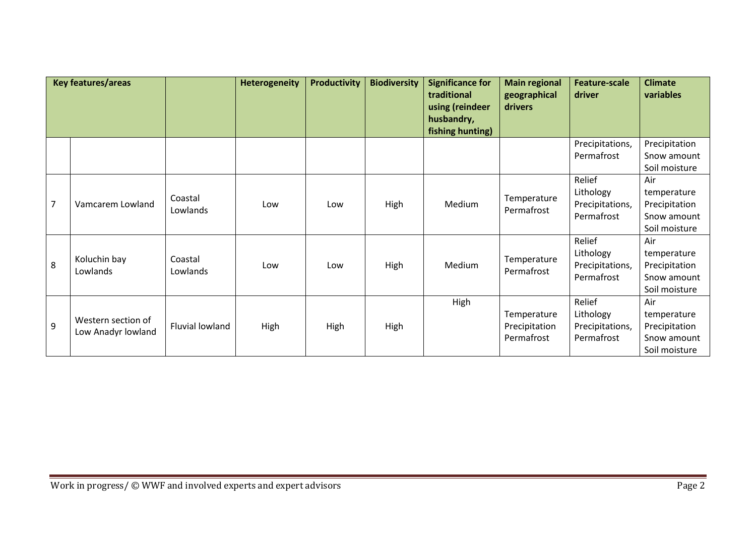| Key features/areas |                                          | <b>Heterogeneity</b> | <b>Productivity</b> | <b>Biodiversity</b> | <b>Significance for</b><br>traditional<br>using (reindeer<br>husbandry,<br>fishing hunting) | <b>Main regional</b><br>geographical<br><b>drivers</b> | <b>Feature-scale</b><br>driver             | <b>Climate</b><br>variables                          |                                                                     |
|--------------------|------------------------------------------|----------------------|---------------------|---------------------|---------------------------------------------------------------------------------------------|--------------------------------------------------------|--------------------------------------------|------------------------------------------------------|---------------------------------------------------------------------|
|                    |                                          |                      |                     |                     |                                                                                             |                                                        |                                            | Precipitations,<br>Permafrost                        | Precipitation<br>Snow amount                                        |
|                    |                                          |                      |                     |                     |                                                                                             |                                                        |                                            |                                                      | Soil moisture                                                       |
| $\overline{7}$     | Vamcarem Lowland                         | Coastal<br>Lowlands  | Low                 | Low                 | High                                                                                        | Medium                                                 | Temperature<br>Permafrost                  | Relief<br>Lithology<br>Precipitations,<br>Permafrost | Air<br>temperature<br>Precipitation<br>Snow amount<br>Soil moisture |
| 8                  | Koluchin bay<br>Lowlands                 | Coastal<br>Lowlands  | Low                 | Low                 | High                                                                                        | Medium                                                 | Temperature<br>Permafrost                  | Relief<br>Lithology<br>Precipitations,<br>Permafrost | Air<br>temperature<br>Precipitation<br>Snow amount<br>Soil moisture |
| 9                  | Western section of<br>Low Anadyr lowland | Fluvial lowland      | High                | High                | High                                                                                        | High                                                   | Temperature<br>Precipitation<br>Permafrost | Relief<br>Lithology<br>Precipitations,<br>Permafrost | Air<br>temperature<br>Precipitation<br>Snow amount<br>Soil moisture |